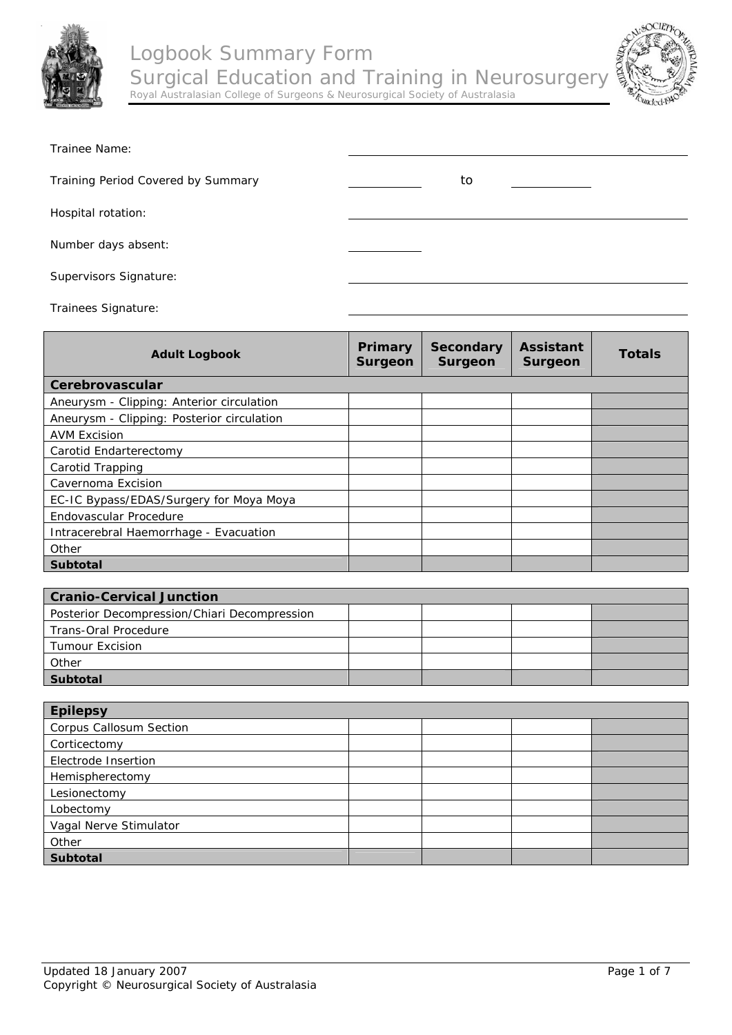



| Trainee Name:                      |    |
|------------------------------------|----|
| Training Period Covered by Summary | to |
| Hospital rotation:                 |    |
| Number days absent:                |    |
| Supervisors Signature:             |    |

Trainees Signature:

| <b>Adult Logbook</b>                       | Primary<br><b>Surgeon</b> | <b>Secondary</b><br>Surgeon | <b>Assistant</b><br><b>Surgeon</b> | <b>Totals</b> |
|--------------------------------------------|---------------------------|-----------------------------|------------------------------------|---------------|
| Cerebrovascular                            |                           |                             |                                    |               |
| Aneurysm - Clipping: Anterior circulation  |                           |                             |                                    |               |
| Aneurysm - Clipping: Posterior circulation |                           |                             |                                    |               |
| <b>AVM Excision</b>                        |                           |                             |                                    |               |
| Carotid Endarterectomy                     |                           |                             |                                    |               |
| Carotid Trapping                           |                           |                             |                                    |               |
| Cavernoma Excision                         |                           |                             |                                    |               |
| EC-IC Bypass/EDAS/Surgery for Moya Moya    |                           |                             |                                    |               |
| Endovascular Procedure                     |                           |                             |                                    |               |
| Intracerebral Haemorrhage - Evacuation     |                           |                             |                                    |               |
| Other                                      |                           |                             |                                    |               |
| <b>Subtotal</b>                            |                           |                             |                                    |               |
|                                            |                           |                             |                                    |               |

| <b>Cranio-Cervical Junction</b>              |  |  |
|----------------------------------------------|--|--|
| Posterior Decompression/Chiari Decompression |  |  |
| Trans-Oral Procedure                         |  |  |
| <b>Tumour Excision</b>                       |  |  |
| Other                                        |  |  |
| <b>Subtotal</b>                              |  |  |

| <b>Epilepsy</b>                |  |  |  |  |
|--------------------------------|--|--|--|--|
| <b>Corpus Callosum Section</b> |  |  |  |  |
| Corticectomy                   |  |  |  |  |
| Electrode Insertion            |  |  |  |  |
| Hemispherectomy                |  |  |  |  |
| Lesionectomy                   |  |  |  |  |
| Lobectomy                      |  |  |  |  |
| Vagal Nerve Stimulator         |  |  |  |  |
| Other                          |  |  |  |  |
| <b>Subtotal</b>                |  |  |  |  |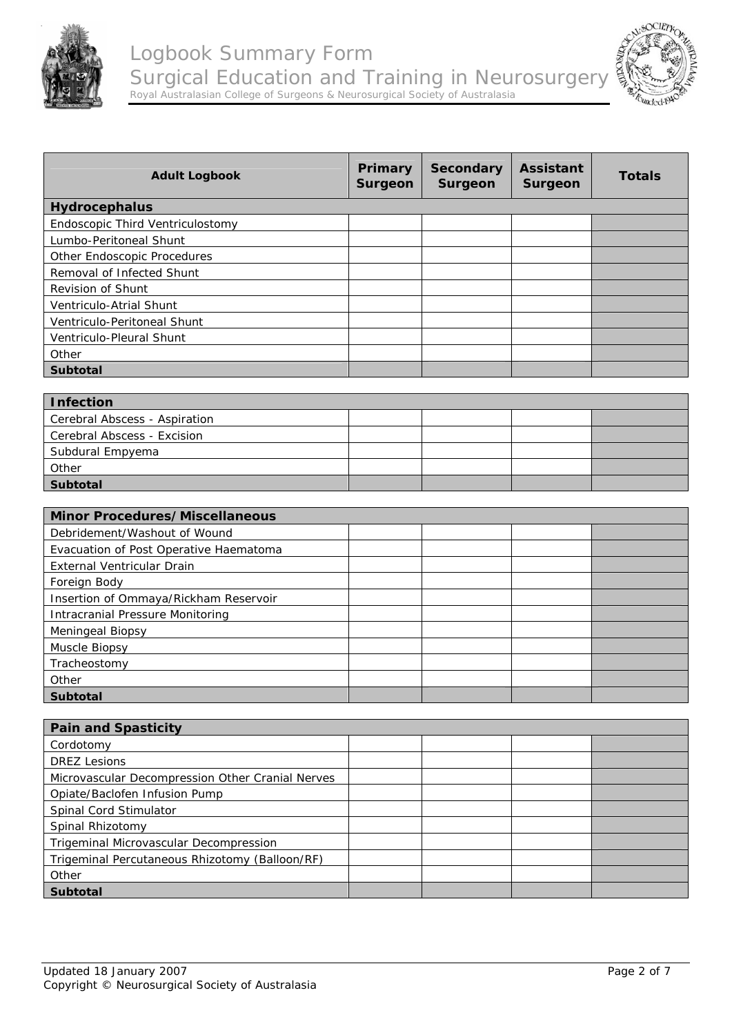



| <b>Adult Logbook</b>                             | Primary<br><b>Surgeon</b> | <b>Secondary</b><br><b>Surgeon</b> | <b>Assistant</b><br><b>Surgeon</b> | <b>Totals</b> |
|--------------------------------------------------|---------------------------|------------------------------------|------------------------------------|---------------|
| Hydrocephalus                                    |                           |                                    |                                    |               |
| Endoscopic Third Ventriculostomy                 |                           |                                    |                                    |               |
| Lumbo-Peritoneal Shunt                           |                           |                                    |                                    |               |
| Other Endoscopic Procedures                      |                           |                                    |                                    |               |
| Removal of Infected Shunt                        |                           |                                    |                                    |               |
| Revision of Shunt                                |                           |                                    |                                    |               |
| Ventriculo-Atrial Shunt                          |                           |                                    |                                    |               |
| Ventriculo-Peritoneal Shunt                      |                           |                                    |                                    |               |
| Ventriculo-Pleural Shunt                         |                           |                                    |                                    |               |
| Other                                            |                           |                                    |                                    |               |
| <b>Subtotal</b>                                  |                           |                                    |                                    |               |
|                                                  |                           |                                    |                                    |               |
| <b>Infection</b>                                 |                           |                                    |                                    |               |
| Cerebral Abscess - Aspiration                    |                           |                                    |                                    |               |
| Cerebral Abscess - Excision                      |                           |                                    |                                    |               |
| Subdural Empyema                                 |                           |                                    |                                    |               |
| Other                                            |                           |                                    |                                    |               |
| <b>Subtotal</b>                                  |                           |                                    |                                    |               |
|                                                  |                           |                                    |                                    |               |
| <b>Minor Procedures/Miscellaneous</b>            |                           |                                    |                                    |               |
| Debridement/Washout of Wound                     |                           |                                    |                                    |               |
| Evacuation of Post Operative Haematoma           |                           |                                    |                                    |               |
| External Ventricular Drain                       |                           |                                    |                                    |               |
| Foreign Body                                     |                           |                                    |                                    |               |
| Insertion of Ommaya/Rickham Reservoir            |                           |                                    |                                    |               |
| <b>Intracranial Pressure Monitoring</b>          |                           |                                    |                                    |               |
| Meningeal Biopsy                                 |                           |                                    |                                    |               |
| Muscle Biopsy                                    |                           |                                    |                                    |               |
| Tracheostomy                                     |                           |                                    |                                    |               |
| Other                                            |                           |                                    |                                    |               |
| <b>Subtotal</b>                                  |                           |                                    |                                    |               |
|                                                  |                           |                                    |                                    |               |
| <b>Pain and Spasticity</b>                       |                           |                                    |                                    |               |
| Cordotomy                                        |                           |                                    |                                    |               |
| <b>DREZ Lesions</b>                              |                           |                                    |                                    |               |
| Microvascular Decompression Other Cranial Nerves |                           |                                    |                                    |               |
| Opiate/Baclofen Infusion Pump                    |                           |                                    |                                    |               |
| Spinal Cord Stimulator                           |                           |                                    |                                    |               |

Trigeminal Microvascular Decompression

Trigeminal Percutaneous Rhizotomy (Balloon/RF)

Spinal Rhizotomy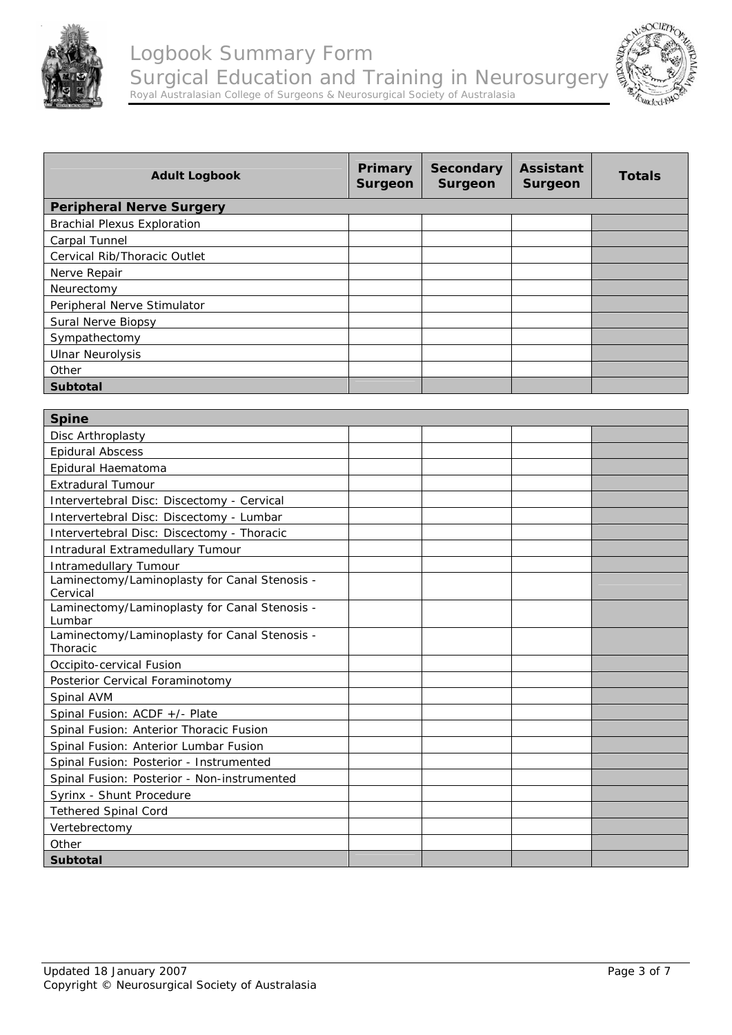



| <b>Adult Logbook</b>               | Primary<br><b>Surgeon</b> | <b>Secondary</b><br>Surgeon | <b>Assistant</b><br><b>Surgeon</b> | <b>Totals</b> |
|------------------------------------|---------------------------|-----------------------------|------------------------------------|---------------|
| <b>Peripheral Nerve Surgery</b>    |                           |                             |                                    |               |
| <b>Brachial Plexus Exploration</b> |                           |                             |                                    |               |
| Carpal Tunnel                      |                           |                             |                                    |               |
| Cervical Rib/Thoracic Outlet       |                           |                             |                                    |               |
| Nerve Repair                       |                           |                             |                                    |               |
| Neurectomy                         |                           |                             |                                    |               |
| Peripheral Nerve Stimulator        |                           |                             |                                    |               |
| Sural Nerve Biopsy                 |                           |                             |                                    |               |
| Sympathectomy                      |                           |                             |                                    |               |
| <b>Ulnar Neurolysis</b>            |                           |                             |                                    |               |
| Other                              |                           |                             |                                    |               |
| <b>Subtotal</b>                    |                           |                             |                                    |               |
|                                    |                           |                             |                                    |               |
| <b>Spine</b>                       |                           |                             |                                    |               |
| Disc Arthroplasty                  |                           |                             |                                    |               |
| <b>Epidural Abscess</b>            |                           |                             |                                    |               |
| Epidural Haematoma                 |                           |                             |                                    |               |

| <b>Epidural Abscess</b>                                 |  |  |
|---------------------------------------------------------|--|--|
| Epidural Haematoma                                      |  |  |
| <b>Extradural Tumour</b>                                |  |  |
| Intervertebral Disc: Discectomy - Cervical              |  |  |
| Intervertebral Disc: Discectomy - Lumbar                |  |  |
| Intervertebral Disc: Discectomy - Thoracic              |  |  |
| Intradural Extramedullary Tumour                        |  |  |
| Intramedullary Tumour                                   |  |  |
| Laminectomy/Laminoplasty for Canal Stenosis -           |  |  |
| Cervical                                                |  |  |
| Laminectomy/Laminoplasty for Canal Stenosis -<br>Lumbar |  |  |
| Laminectomy/Laminoplasty for Canal Stenosis -           |  |  |
| <b>Thoracic</b>                                         |  |  |
| Occipito-cervical Fusion                                |  |  |
| Posterior Cervical Foraminotomy                         |  |  |
| Spinal AVM                                              |  |  |
| Spinal Fusion: ACDF +/- Plate                           |  |  |
| Spinal Fusion: Anterior Thoracic Fusion                 |  |  |
| Spinal Fusion: Anterior Lumbar Fusion                   |  |  |
| Spinal Fusion: Posterior - Instrumented                 |  |  |
| Spinal Fusion: Posterior - Non-instrumented             |  |  |
| Syrinx - Shunt Procedure                                |  |  |
| <b>Tethered Spinal Cord</b>                             |  |  |
| Vertebrectomy                                           |  |  |
| Other                                                   |  |  |
| <b>Subtotal</b>                                         |  |  |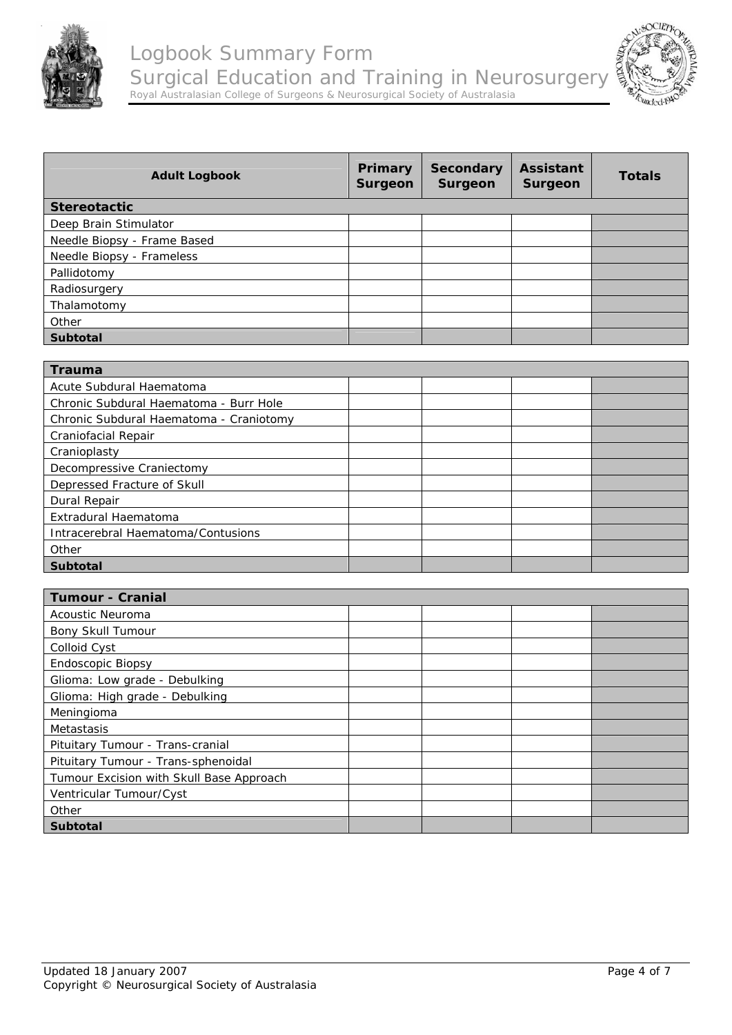



| <b>Adult Logbook</b>        | Primary<br><b>Surgeon</b> | <b>Secondary</b><br>Surgeon | <b>Assistant</b><br>Surgeon | <b>Totals</b> |
|-----------------------------|---------------------------|-----------------------------|-----------------------------|---------------|
| <b>Stereotactic</b>         |                           |                             |                             |               |
| Deep Brain Stimulator       |                           |                             |                             |               |
| Needle Biopsy - Frame Based |                           |                             |                             |               |
| Needle Biopsy - Frameless   |                           |                             |                             |               |
| Pallidotomy                 |                           |                             |                             |               |
| Radiosurgery                |                           |                             |                             |               |
| Thalamotomy                 |                           |                             |                             |               |
| Other                       |                           |                             |                             |               |
| <b>Subtotal</b>             |                           |                             |                             |               |

| <b>Trauma</b>                           |  |  |
|-----------------------------------------|--|--|
| Acute Subdural Haematoma                |  |  |
| Chronic Subdural Haematoma - Burr Hole  |  |  |
| Chronic Subdural Haematoma - Craniotomy |  |  |
| Craniofacial Repair                     |  |  |
| Cranioplasty                            |  |  |
| Decompressive Craniectomy               |  |  |
| Depressed Fracture of Skull             |  |  |
| Dural Repair                            |  |  |
| Extradural Haematoma                    |  |  |
| Intracerebral Haematoma/Contusions      |  |  |
| Other                                   |  |  |
| <b>Subtotal</b>                         |  |  |

| <b>Tumour - Cranial</b>                  |  |  |
|------------------------------------------|--|--|
| Acoustic Neuroma                         |  |  |
| Bony Skull Tumour                        |  |  |
| Colloid Cyst                             |  |  |
| Endoscopic Biopsy                        |  |  |
| Glioma: Low grade - Debulking            |  |  |
| Glioma: High grade - Debulking           |  |  |
| Meningioma                               |  |  |
| Metastasis                               |  |  |
| Pituitary Tumour - Trans-cranial         |  |  |
| Pituitary Tumour - Trans-sphenoidal      |  |  |
| Tumour Excision with Skull Base Approach |  |  |
| Ventricular Tumour/Cyst                  |  |  |
| Other                                    |  |  |
| <b>Subtotal</b>                          |  |  |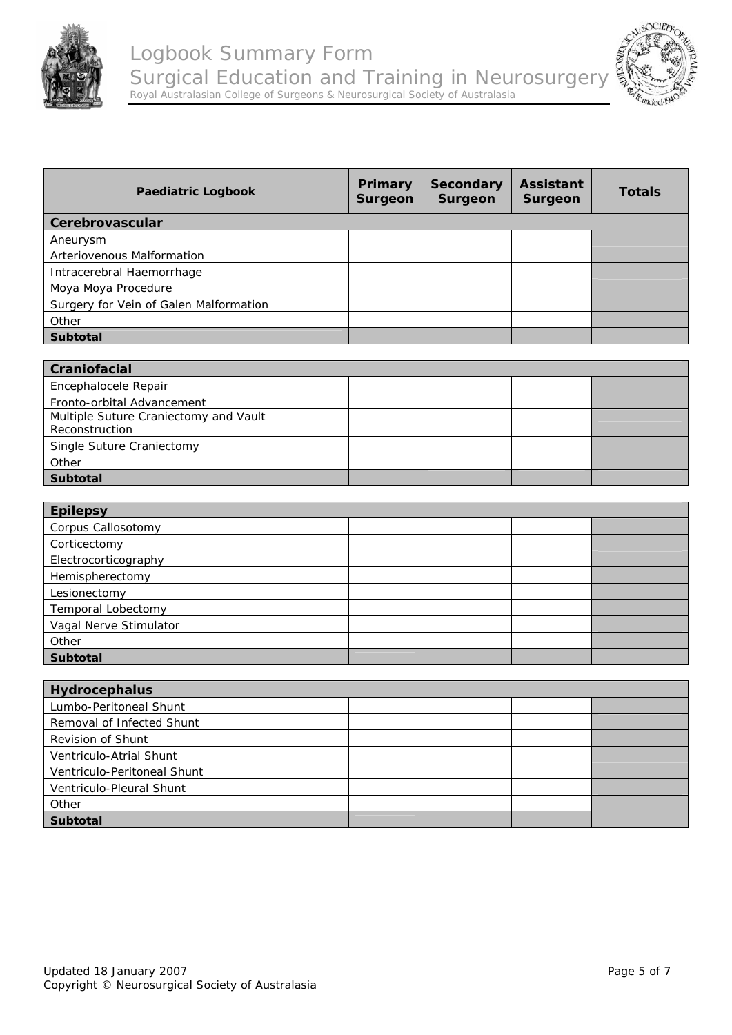



| <b>Paediatric Logbook</b>                               | Primary<br><b>Surgeon</b> | <b>Secondary</b><br><b>Surgeon</b> | <b>Assistant</b><br><b>Surgeon</b> | <b>Totals</b> |
|---------------------------------------------------------|---------------------------|------------------------------------|------------------------------------|---------------|
| Cerebrovascular                                         |                           |                                    |                                    |               |
| Aneurysm                                                |                           |                                    |                                    |               |
| Arteriovenous Malformation                              |                           |                                    |                                    |               |
| Intracerebral Haemorrhage                               |                           |                                    |                                    |               |
| Moya Moya Procedure                                     |                           |                                    |                                    |               |
| Surgery for Vein of Galen Malformation                  |                           |                                    |                                    |               |
| Other                                                   |                           |                                    |                                    |               |
| Subtotal                                                |                           |                                    |                                    |               |
|                                                         |                           |                                    |                                    |               |
| Craniofacial                                            |                           |                                    |                                    |               |
| Encephalocele Repair                                    |                           |                                    |                                    |               |
| Fronto-orbital Advancement                              |                           |                                    |                                    |               |
| Multiple Suture Craniectomy and Vault<br>Reconstruction |                           |                                    |                                    |               |
| Single Suture Craniectomy                               |                           |                                    |                                    |               |
| Other                                                   |                           |                                    |                                    |               |
| Subtotal                                                |                           |                                    |                                    |               |
|                                                         |                           |                                    |                                    |               |
| <b>Epilepsy</b>                                         |                           |                                    |                                    |               |
| Corpus Callosotomy                                      |                           |                                    |                                    |               |
| Corticectomy                                            |                           |                                    |                                    |               |
| Electrocorticography                                    |                           |                                    |                                    |               |
| Hemispherectomy                                         |                           |                                    |                                    |               |
| Lesionectomy                                            |                           |                                    |                                    |               |
| Temporal Lobectomy                                      |                           |                                    |                                    |               |
| Vagal Nerve Stimulator                                  |                           |                                    |                                    |               |
| Other                                                   |                           |                                    |                                    |               |
| <b>Subtotal</b>                                         |                           |                                    |                                    |               |
| Hydrocephalus                                           |                           |                                    |                                    |               |
| Lumbo-Peritoneal Shunt                                  |                           |                                    |                                    |               |
| Removal of Infected Shunt                               |                           |                                    |                                    |               |
| Revision of Shunt                                       |                           |                                    |                                    |               |
| Ventriculo-Atrial Shunt                                 |                           |                                    |                                    |               |
| Ventriculo-Peritoneal Shunt                             |                           |                                    |                                    |               |
| Ventriculo-Pleural Shunt                                |                           |                                    |                                    |               |
| Other                                                   |                           |                                    |                                    |               |
| Subtotal                                                |                           |                                    |                                    |               |
|                                                         |                           |                                    |                                    |               |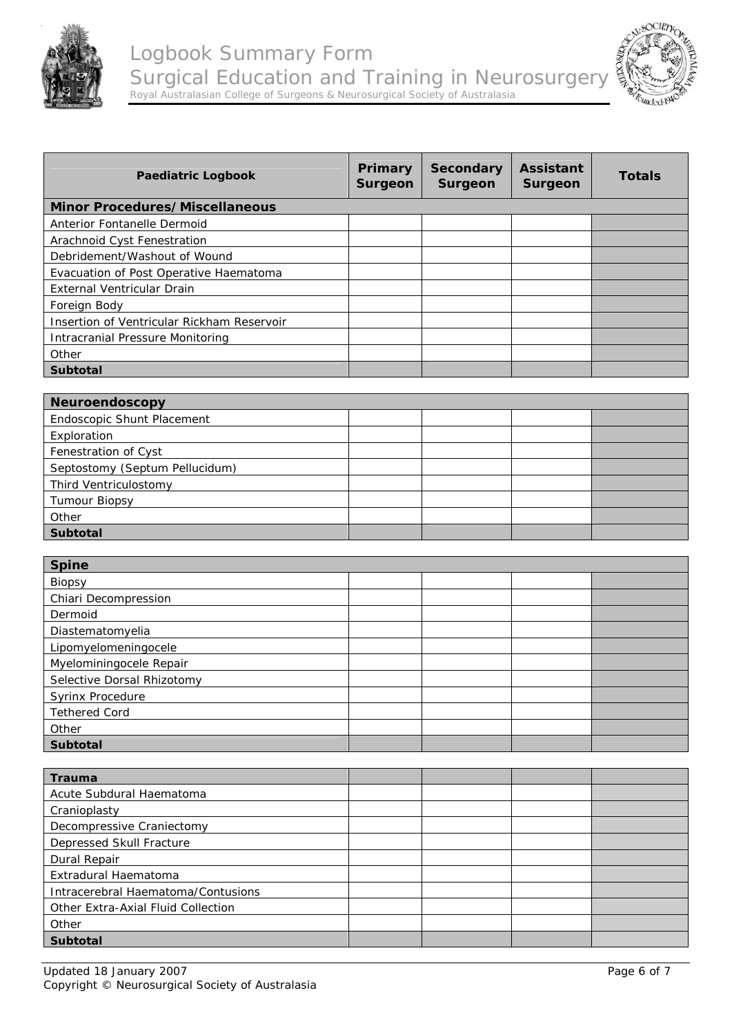



| <b>Paediatric Logbook</b>                  | Primary<br>Surgeon | Secondary<br><b>Surgeon</b> | <b>Assistant</b><br>Surgeon | <b>Totals</b> |
|--------------------------------------------|--------------------|-----------------------------|-----------------------------|---------------|
| <b>Minor Procedures/Miscellaneous</b>      |                    |                             |                             |               |
| Anterior Fontanelle Dermoid                |                    |                             |                             |               |
| Arachnoid Cyst Fenestration                |                    |                             |                             |               |
| Debridement/Washout of Wound               |                    |                             |                             |               |
| Evacuation of Post Operative Haematoma     |                    |                             |                             |               |
| External Ventricular Drain                 |                    |                             |                             |               |
| Foreign Body                               |                    |                             |                             |               |
| Insertion of Ventricular Rickham Reservoir |                    |                             |                             |               |
| Intracranial Pressure Monitoring           |                    |                             |                             |               |
| Other                                      |                    |                             |                             |               |
| <b>Subtotal</b>                            |                    |                             |                             |               |

| Neuroendoscopy                 |  |  |  |  |
|--------------------------------|--|--|--|--|
| Endoscopic Shunt Placement     |  |  |  |  |
| Exploration                    |  |  |  |  |
| Fenestration of Cyst           |  |  |  |  |
| Septostomy (Septum Pellucidum) |  |  |  |  |
| Third Ventriculostomy          |  |  |  |  |
| <b>Tumour Biopsy</b>           |  |  |  |  |
| Other                          |  |  |  |  |
| <b>Subtotal</b>                |  |  |  |  |

| <b>Spine</b>               |  |  |  |  |
|----------------------------|--|--|--|--|
| Biopsy                     |  |  |  |  |
| Chiari Decompression       |  |  |  |  |
| Dermoid                    |  |  |  |  |
| Diastematomyelia           |  |  |  |  |
| Lipomyelomeningocele       |  |  |  |  |
| Myelominingocele Repair    |  |  |  |  |
| Selective Dorsal Rhizotomy |  |  |  |  |
| <b>Syrinx Procedure</b>    |  |  |  |  |
| <b>Tethered Cord</b>       |  |  |  |  |
| Other                      |  |  |  |  |
| <b>Subtotal</b>            |  |  |  |  |

| <b>Trauma</b>                      |  |  |
|------------------------------------|--|--|
| Acute Subdural Haematoma           |  |  |
| Cranioplasty                       |  |  |
| Decompressive Craniectomy          |  |  |
| Depressed Skull Fracture           |  |  |
| Dural Repair                       |  |  |
| Extradural Haematoma               |  |  |
| Intracerebral Haematoma/Contusions |  |  |
| Other Extra-Axial Fluid Collection |  |  |
| Other                              |  |  |
| <b>Subtotal</b>                    |  |  |